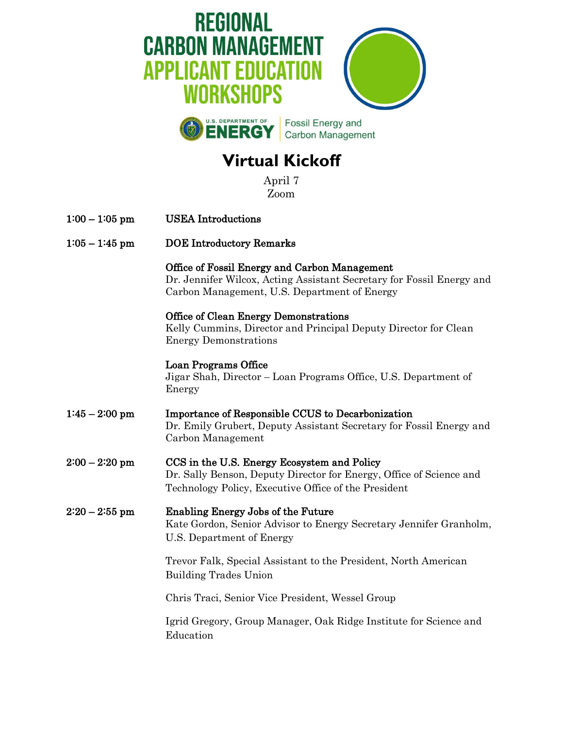

## **Virtual Kickoff**

April 7 Zoom

| LJUULII          |                                                                                                                                                                            |
|------------------|----------------------------------------------------------------------------------------------------------------------------------------------------------------------------|
| $1:00 - 1:05$ pm | <b>USEA</b> Introductions                                                                                                                                                  |
| $1:05 - 1:45$ pm | <b>DOE</b> Introductory Remarks                                                                                                                                            |
|                  | Office of Fossil Energy and Carbon Management<br>Dr. Jennifer Wilcox, Acting Assistant Secretary for Fossil Energy and<br>Carbon Management, U.S. Department of Energy     |
|                  | Office of Clean Energy Demonstrations<br>Kelly Cummins, Director and Principal Deputy Director for Clean<br><b>Energy Demonstrations</b>                                   |
|                  | <b>Loan Programs Office</b><br>Jigar Shah, Director - Loan Programs Office, U.S. Department of<br>Energy                                                                   |
| $1:45 - 2:00$ pm | <b>Importance of Responsible CCUS to Decarbonization</b><br>Dr. Emily Grubert, Deputy Assistant Secretary for Fossil Energy and<br>Carbon Management                       |
| $2:00 - 2:20$ pm | CCS in the U.S. Energy Ecosystem and Policy<br>Dr. Sally Benson, Deputy Director for Energy, Office of Science and<br>Technology Policy, Executive Office of the President |
| $2:20-2:55$ pm   | <b>Enabling Energy Jobs of the Future</b><br>Kate Gordon, Senior Advisor to Energy Secretary Jennifer Granholm,<br>U.S. Department of Energy                               |
|                  | Trevor Falk, Special Assistant to the President, North American<br><b>Building Trades Union</b>                                                                            |
|                  | Chris Traci, Senior Vice President, Wessel Group                                                                                                                           |
|                  | Igrid Gregory, Group Manager, Oak Ridge Institute for Science and<br>Education                                                                                             |